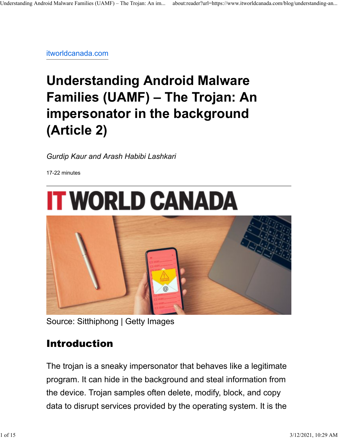itworldcanada.com

# **Understanding Android Malware Families (UAMF) – The Trojan: An impersonator in the background (Article 2)**

*Gurdip Kaur and Arash Habibi Lashkari*

17-22 minutes



Source: Sitthiphong | Getty Images

### Introduction

The trojan is a sneaky impersonator that behaves like a legitimate program. It can hide in the background and steal information from the device. Trojan samples often delete, modify, block, and copy data to disrupt services provided by the operating system. It is the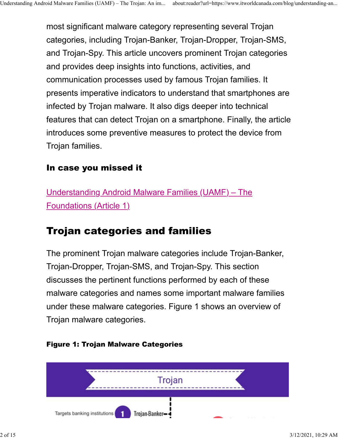most significant malware category representing several Trojan categories, including Trojan-Banker, Trojan-Dropper, Trojan-SMS, and Trojan-Spy. This article uncovers prominent Trojan categories and provides deep insights into functions, activities, and communication processes used by famous Trojan families. It presents imperative indicators to understand that smartphones are infected by Trojan malware. It also digs deeper into technical features that can detect Trojan on a smartphone. Finally, the article introduces some preventive measures to protect the device from Trojan families.

#### In case you missed it

Understanding Android Malware Families (UAMF) – The Foundations (Article 1)

### Trojan categories and families

The prominent Trojan malware categories include Trojan-Banker, Trojan-Dropper, Trojan-SMS, and Trojan-Spy. This section discusses the pertinent functions performed by each of these malware categories and names some important malware families under these malware categories. Figure 1 shows an overview of Trojan malware categories.



#### Figure 1: Trojan Malware Categories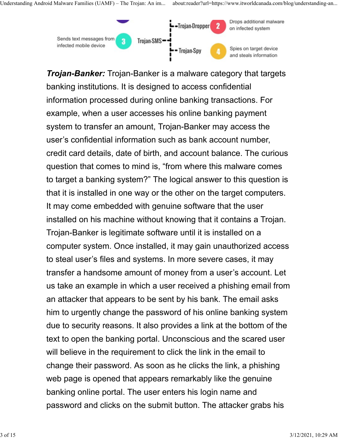

*Trojan-Banker:* Trojan-Banker is a malware category that targets banking institutions. It is designed to access confidential information processed during online banking transactions. For example, when a user accesses his online banking payment system to transfer an amount, Trojan-Banker may access the user's confidential information such as bank account number, credit card details, date of birth, and account balance. The curious question that comes to mind is, "from where this malware comes to target a banking system?" The logical answer to this question is that it is installed in one way or the other on the target computers. It may come embedded with genuine software that the user installed on his machine without knowing that it contains a Trojan. Trojan-Banker is legitimate software until it is installed on a computer system. Once installed, it may gain unauthorized access to steal user's files and systems. In more severe cases, it may transfer a handsome amount of money from a user's account. Let us take an example in which a user received a phishing email from an attacker that appears to be sent by his bank. The email asks him to urgently change the password of his online banking system due to security reasons. It also provides a link at the bottom of the text to open the banking portal. Unconscious and the scared user will believe in the requirement to click the link in the email to change their password. As soon as he clicks the link, a phishing web page is opened that appears remarkably like the genuine banking online portal. The user enters his login name and password and clicks on the submit button. The attacker grabs his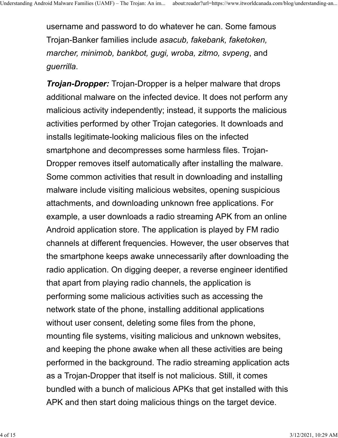username and password to do whatever he can. Some famous Trojan-Banker families include *asacub, fakebank, faketoken, marcher, minimob, bankbot, gugi, wroba, zitmo, svpeng*, and *guerrilla*.

*Trojan-Dropper:* Trojan-Dropper is a helper malware that drops additional malware on the infected device. It does not perform any malicious activity independently; instead, it supports the malicious activities performed by other Trojan categories. It downloads and installs legitimate-looking malicious files on the infected smartphone and decompresses some harmless files. Trojan-Dropper removes itself automatically after installing the malware. Some common activities that result in downloading and installing malware include visiting malicious websites, opening suspicious attachments, and downloading unknown free applications. For example, a user downloads a radio streaming APK from an online Android application store. The application is played by FM radio channels at different frequencies. However, the user observes that the smartphone keeps awake unnecessarily after downloading the radio application. On digging deeper, a reverse engineer identified that apart from playing radio channels, the application is performing some malicious activities such as accessing the network state of the phone, installing additional applications without user consent, deleting some files from the phone, mounting file systems, visiting malicious and unknown websites, and keeping the phone awake when all these activities are being performed in the background. The radio streaming application acts as a Trojan-Dropper that itself is not malicious. Still, it comes bundled with a bunch of malicious APKs that get installed with this APK and then start doing malicious things on the target device.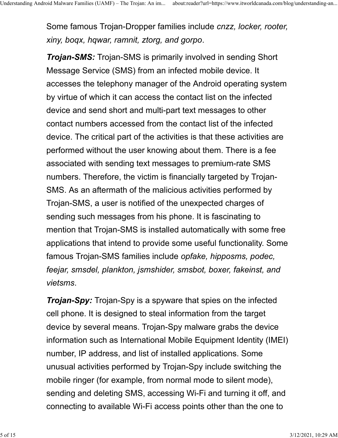Some famous Trojan-Dropper families include *cnzz, locker, rooter, xiny, boqx, hqwar, ramnit, ztorg, and gorpo*.

*Trojan-SMS:* Trojan-SMS is primarily involved in sending Short Message Service (SMS) from an infected mobile device. It accesses the telephony manager of the Android operating system by virtue of which it can access the contact list on the infected device and send short and multi-part text messages to other contact numbers accessed from the contact list of the infected device. The critical part of the activities is that these activities are performed without the user knowing about them. There is a fee associated with sending text messages to premium-rate SMS numbers. Therefore, the victim is financially targeted by Trojan-SMS. As an aftermath of the malicious activities performed by Trojan-SMS, a user is notified of the unexpected charges of sending such messages from his phone. It is fascinating to mention that Trojan-SMS is installed automatically with some free applications that intend to provide some useful functionality. Some famous Trojan-SMS families include *opfake, hipposms, podec, feejar, smsdel, plankton, jsmshider, smsbot, boxer, fakeinst, and vietsms*.

*Trojan-Spy:* Trojan-Spy is a spyware that spies on the infected cell phone. It is designed to steal information from the target device by several means. Trojan-Spy malware grabs the device information such as International Mobile Equipment Identity (IMEI) number, IP address, and list of installed applications. Some unusual activities performed by Trojan-Spy include switching the mobile ringer (for example, from normal mode to silent mode), sending and deleting SMS, accessing Wi-Fi and turning it off, and connecting to available Wi-Fi access points other than the one to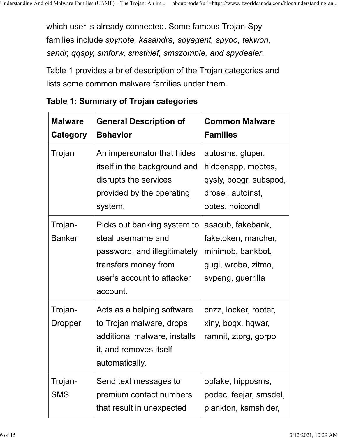which user is already connected. Some famous Trojan-Spy families include *spynote, kasandra, spyagent, spyoo, tekwon, sandr, qqspy, smforw, smsthief, smszombie, and spydealer*.

Table 1 provides a brief description of the Trojan categories and lists some common malware families under them.

| <b>Malware</b><br><b>Category</b> | <b>General Description of</b><br><b>Behavior</b>                                                                                                    | <b>Common Malware</b><br><b>Families</b>                                                                  |
|-----------------------------------|-----------------------------------------------------------------------------------------------------------------------------------------------------|-----------------------------------------------------------------------------------------------------------|
| Trojan                            | An impersonator that hides<br>itself in the background and<br>disrupts the services<br>provided by the operating<br>system.                         | autosms, gluper,<br>hiddenapp, mobtes,<br>qysly, boogr, subspod,<br>drosel, autoinst,<br>obtes, noicondl  |
| Trojan-<br><b>Banker</b>          | Picks out banking system to<br>steal username and<br>password, and illegitimately<br>transfers money from<br>user's account to attacker<br>account. | asacub, fakebank,<br>faketoken, marcher,<br>minimob, bankbot,<br>gugi, wroba, zitmo,<br>svpeng, guerrilla |
| Trojan-<br>Dropper                | Acts as a helping software<br>to Trojan malware, drops<br>additional malware, installs<br>it, and removes itself<br>automatically.                  | cnzz, locker, rooter,<br>xiny, boqx, hqwar,<br>ramnit, ztorg, gorpo                                       |
| Trojan-<br><b>SMS</b>             | Send text messages to<br>premium contact numbers<br>that result in unexpected                                                                       | opfake, hipposms,<br>podec, feejar, smsdel,<br>plankton, ksmshider,                                       |

| Table 1: Summary of Trojan categories |  |  |  |
|---------------------------------------|--|--|--|
|---------------------------------------|--|--|--|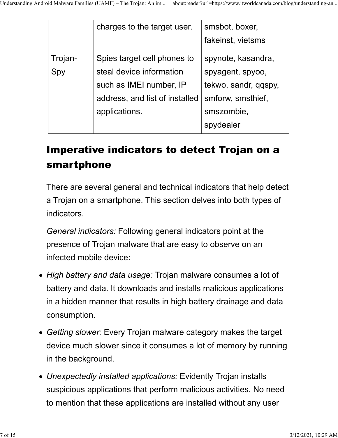|                | charges to the target user.                                                                                                           | smsbot, boxer,<br>fakeinst, vietsms                                                                            |
|----------------|---------------------------------------------------------------------------------------------------------------------------------------|----------------------------------------------------------------------------------------------------------------|
| Trojan-<br>Spy | Spies target cell phones to<br>steal device information<br>such as IMEI number, IP<br>address, and list of installed<br>applications. | spynote, kasandra,<br>spyagent, spyoo,<br>tekwo, sandr, qqspy,<br>smforw, smsthief,<br>smszombie,<br>spydealer |

## Imperative indicators to detect Trojan on a smartphone

There are several general and technical indicators that help detect a Trojan on a smartphone. This section delves into both types of indicators.

*General indicators:* Following general indicators point at the presence of Trojan malware that are easy to observe on an infected mobile device:

- *High battery and data usage:* Trojan malware consumes a lot of battery and data. It downloads and installs malicious applications in a hidden manner that results in high battery drainage and data consumption.
- *Getting slower:* Every Trojan malware category makes the target device much slower since it consumes a lot of memory by running in the background.
- *Unexpectedly installed applications:* Evidently Trojan installs suspicious applications that perform malicious activities. No need to mention that these applications are installed without any user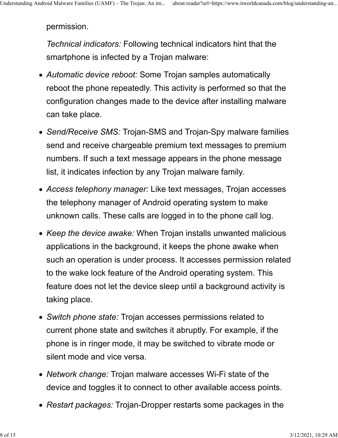permission.

*Technical indicators:* Following technical indicators hint that the smartphone is infected by a Trojan malware:

- *Automatic device reboot:* Some Trojan samples automatically reboot the phone repeatedly. This activity is performed so that the configuration changes made to the device after installing malware can take place.
- *Send/Receive SMS:* Trojan-SMS and Trojan-Spy malware families send and receive chargeable premium text messages to premium numbers. If such a text message appears in the phone message list, it indicates infection by any Trojan malware family.
- *Access telephony manager:* Like text messages, Trojan accesses the telephony manager of Android operating system to make unknown calls. These calls are logged in to the phone call log.
- *Keep the device awake:* When Trojan installs unwanted malicious applications in the background, it keeps the phone awake when such an operation is under process. It accesses permission related to the wake lock feature of the Android operating system. This feature does not let the device sleep until a background activity is taking place.
- *Switch phone state:* Trojan accesses permissions related to current phone state and switches it abruptly. For example, if the phone is in ringer mode, it may be switched to vibrate mode or silent mode and vice versa.
- *Network change:* Trojan malware accesses Wi-Fi state of the device and toggles it to connect to other available access points.
- *Restart packages:* Trojan-Dropper restarts some packages in the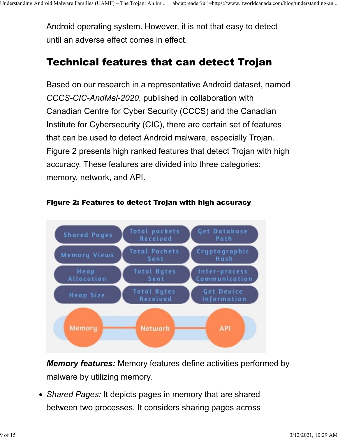Android operating system. However, it is not that easy to detect until an adverse effect comes in effect.

### Technical features that can detect Trojan

Based on our research in a representative Android dataset, named *CCCS-CIC-AndMal-2020*, published in collaboration with Canadian Centre for Cyber Security (CCCS) and the Canadian Institute for Cybersecurity (CIC), there are certain set of features that can be used to detect Android malware, especially Trojan. Figure 2 presents high ranked features that detect Trojan with high accuracy. These features are divided into three categories: memory, network, and API.



#### Figure 2: Features to detect Trojan with high accuracy

*Memory features:* Memory features define activities performed by malware by utilizing memory.

*Shared Pages:* It depicts pages in memory that are shared between two processes. It considers sharing pages across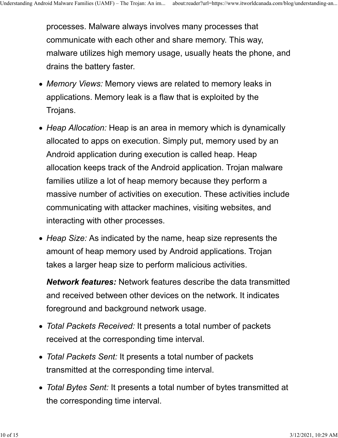processes. Malware always involves many processes that communicate with each other and share memory. This way, malware utilizes high memory usage, usually heats the phone, and drains the battery faster.

- *Memory Views:* Memory views are related to memory leaks in applications. Memory leak is a flaw that is exploited by the Trojans.
- *Heap Allocation:* Heap is an area in memory which is dynamically allocated to apps on execution. Simply put, memory used by an Android application during execution is called heap. Heap allocation keeps track of the Android application. Trojan malware families utilize a lot of heap memory because they perform a massive number of activities on execution. These activities include communicating with attacker machines, visiting websites, and interacting with other processes.
- *Heap Size:* As indicated by the name, heap size represents the amount of heap memory used by Android applications. Trojan takes a larger heap size to perform malicious activities.

*Network features:* Network features describe the data transmitted and received between other devices on the network. It indicates foreground and background network usage.

- *Total Packets Received:* It presents a total number of packets received at the corresponding time interval.
- *Total Packets Sent:* It presents a total number of packets transmitted at the corresponding time interval.
- *Total Bytes Sent:* It presents a total number of bytes transmitted at the corresponding time interval.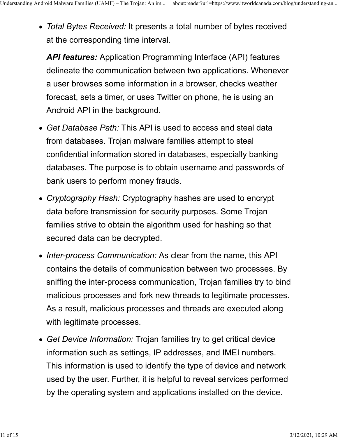*Total Bytes Received:* It presents a total number of bytes received at the corresponding time interval.

*API features:* Application Programming Interface (API) features delineate the communication between two applications. Whenever a user browses some information in a browser, checks weather forecast, sets a timer, or uses Twitter on phone, he is using an Android API in the background.

- *Get Database Path:* This API is used to access and steal data from databases. Trojan malware families attempt to steal confidential information stored in databases, especially banking databases. The purpose is to obtain username and passwords of bank users to perform money frauds.
- *Cryptography Hash:* Cryptography hashes are used to encrypt data before transmission for security purposes. Some Trojan families strive to obtain the algorithm used for hashing so that secured data can be decrypted.
- *Inter-process Communication:* As clear from the name, this API contains the details of communication between two processes. By sniffing the inter-process communication, Trojan families try to bind malicious processes and fork new threads to legitimate processes. As a result, malicious processes and threads are executed along with legitimate processes.
- *Get Device Information:* Trojan families try to get critical device information such as settings, IP addresses, and IMEI numbers. This information is used to identify the type of device and network used by the user. Further, it is helpful to reveal services performed by the operating system and applications installed on the device.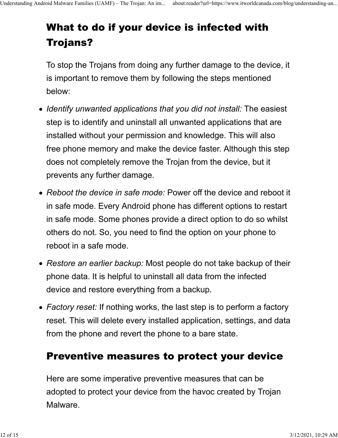# What to do if your device is infected with Trojans?

To stop the Trojans from doing any further damage to the device, it is important to remove them by following the steps mentioned below:

- *Identify unwanted applications that you did not install:* The easiest step is to identify and uninstall all unwanted applications that are installed without your permission and knowledge. This will also free phone memory and make the device faster. Although this step does not completely remove the Trojan from the device, but it prevents any further damage.
- *Reboot the device in safe mode:* Power off the device and reboot it in safe mode. Every Android phone has different options to restart in safe mode. Some phones provide a direct option to do so whilst others do not. So, you need to find the option on your phone to reboot in a safe mode.
- *Restore an earlier backup:* Most people do not take backup of their phone data. It is helpful to uninstall all data from the infected device and restore everything from a backup.
- *Factory reset:* If nothing works, the last step is to perform a factory reset. This will delete every installed application, settings, and data from the phone and revert the phone to a bare state.

### Preventive measures to protect your device

Here are some imperative preventive measures that can be adopted to protect your device from the havoc created by Trojan Malware.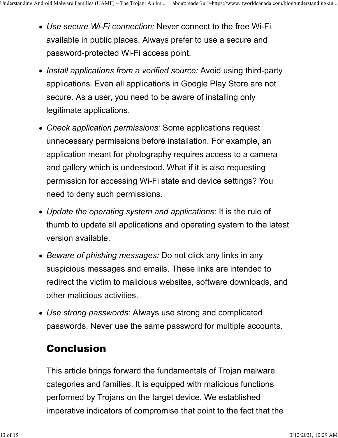- *Use secure Wi-Fi connection:* Never connect to the free Wi-Fi available in public places. Always prefer to use a secure and password-protected Wi-Fi access point.
- Install applications from a verified source: Avoid using third-party applications. Even all applications in Google Play Store are not secure. As a user, you need to be aware of installing only legitimate applications.
- *Check application permissions:* Some applications request unnecessary permissions before installation. For example, an application meant for photography requires access to a camera and gallery which is understood. What if it is also requesting permission for accessing Wi-Fi state and device settings? You need to deny such permissions.
- *Update the operating system and applications:* It is the rule of thumb to update all applications and operating system to the latest version available.
- *Beware of phishing messages:* Do not click any links in any suspicious messages and emails. These links are intended to redirect the victim to malicious websites, software downloads, and other malicious activities.
- *Use strong passwords:* Always use strong and complicated passwords. Never use the same password for multiple accounts.

### Conclusion

This article brings forward the fundamentals of Trojan malware categories and families. It is equipped with malicious functions performed by Trojans on the target device. We established imperative indicators of compromise that point to the fact that the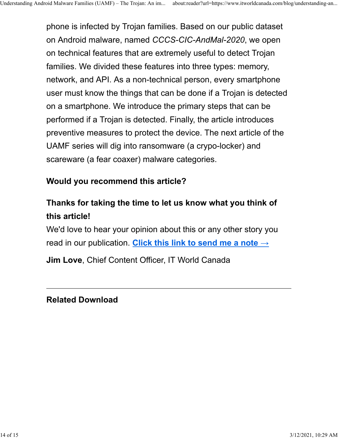phone is infected by Trojan families. Based on our public dataset on Android malware, named *CCCS-CIC-AndMal-2020*, we open on technical features that are extremely useful to detect Trojan families. We divided these features into three types: memory, network, and API. As a non-technical person, every smartphone user must know the things that can be done if a Trojan is detected on a smartphone. We introduce the primary steps that can be performed if a Trojan is detected. Finally, the article introduces preventive measures to protect the device. The next article of the UAMF series will dig into ransomware (a crypo-locker) and scareware (a fear coaxer) malware categories.

#### **Would you recommend this article?**

### **Thanks for taking the time to let us know what you think of this article!**

We'd love to hear your opinion about this or any other story you read in our publication. **Click this link to send me a note →**

**Jim Love**, Chief Content Officer, IT World Canada

#### **Related Download**